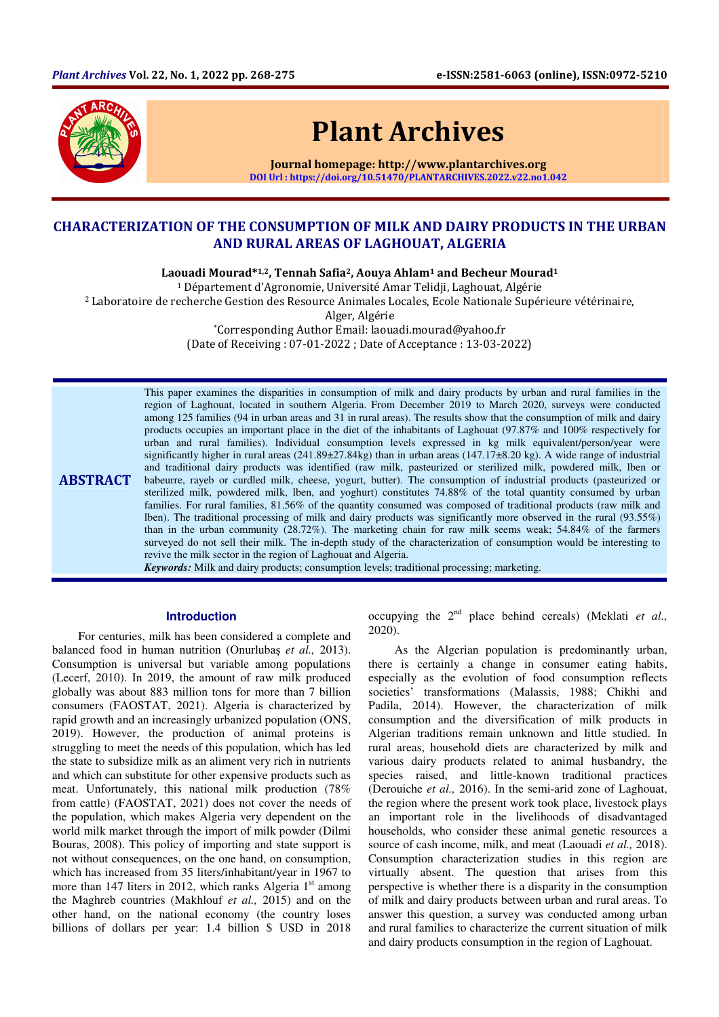

# Plant Archives

Journal homepage: http://www.plantarchives.org DOI Url : https://doi.org/10.51470/PLANTARCHIVES.2022.v22.no1.042

# CHARACTERIZATION OF THE CONSUMPTION OF MILK AND DAIRY PRODUCTS IN THE URBAN AND RURAL AREAS OF LAGHOUAT, ALGERIA

Laouadi Mourad\*1,2, Tennah Safia<sup>2</sup>, Aouya Ahlam<sup>1</sup> and Becheur Mourad<sup>1</sup>

<sup>1</sup> Département d'Agronomie, Université Amar Telidji, Laghouat, Algérie

<sup>2</sup> Laboratoire de recherche Gestion des Resource Animales Locales, Ecole Nationale Supérieure vétérinaire,

Alger, Algérie

\*Corresponding Author Email: laouadi.mourad@yahoo.fr

(Date of Receiving : 07-01-2022 ; Date of Acceptance : 13-03-2022)

ABSTRACT This paper examines the disparities in consumption of milk and dairy products by urban and rural families in the region of Laghouat, located in southern Algeria. From December 2019 to March 2020, surveys were conducted among 125 families (94 in urban areas and 31 in rural areas). The results show that the consumption of milk and dairy products occupies an important place in the diet of the inhabitants of Laghouat (97.87% and 100% respectively for urban and rural families). Individual consumption levels expressed in kg milk equivalent/person/year were significantly higher in rural areas (241.89±27.84kg) than in urban areas (147.17±8.20 kg). A wide range of industrial and traditional dairy products was identified (raw milk, pasteurized or sterilized milk, powdered milk, lben or babeurre, rayeb or curdled milk, cheese, yogurt, butter). The consumption of industrial products (pasteurized or sterilized milk, powdered milk, lben, and yoghurt) constitutes 74.88% of the total quantity consumed by urban families. For rural families, 81.56% of the quantity consumed was composed of traditional products (raw milk and lben). The traditional processing of milk and dairy products was significantly more observed in the rural (93.55%) than in the urban community (28.72%). The marketing chain for raw milk seems weak; 54.84% of the farmers surveyed do not sell their milk. The in-depth study of the characterization of consumption would be interesting to revive the milk sector in the region of Laghouat and Algeria.

*Keywords:* Milk and dairy products; consumption levels; traditional processing; marketing.

#### **Introduction**

For centuries, milk has been considered a complete and balanced food in human nutrition (Onurlubaş *et al.,* 2013). Consumption is universal but variable among populations (Lecerf, 2010). In 2019, the amount of raw milk produced globally was about 883 million tons for more than 7 billion consumers (FAOSTAT, 2021). Algeria is characterized by rapid growth and an increasingly urbanized population (ONS, 2019). However, the production of animal proteins is struggling to meet the needs of this population, which has led the state to subsidize milk as an aliment very rich in nutrients and which can substitute for other expensive products such as meat. Unfortunately, this national milk production (78% from cattle) (FAOSTAT, 2021) does not cover the needs of the population, which makes Algeria very dependent on the world milk market through the import of milk powder (Dilmi Bouras, 2008). This policy of importing and state support is not without consequences, on the one hand, on consumption, which has increased from 35 liters/inhabitant/year in 1967 to more than 147 liters in 2012, which ranks Algeria  $1<sup>st</sup>$  among the Maghreb countries (Makhlouf *et al.,* 2015) and on the other hand, on the national economy (the country loses billions of dollars per year: 1.4 billion \$ USD in 2018

occupying the 2nd place behind cereals) (Meklati *et al.,* 2020).

As the Algerian population is predominantly urban, there is certainly a change in consumer eating habits, especially as the evolution of food consumption reflects societies' transformations (Malassis, 1988; Chikhi and Padila, 2014). However, the characterization of milk consumption and the diversification of milk products in Algerian traditions remain unknown and little studied. In rural areas, household diets are characterized by milk and various dairy products related to animal husbandry, the species raised, and little-known traditional practices (Derouiche *et al.,* 2016). In the semi-arid zone of Laghouat, the region where the present work took place, livestock plays an important role in the livelihoods of disadvantaged households, who consider these animal genetic resources a source of cash income, milk, and meat (Laouadi *et al.,* 2018). Consumption characterization studies in this region are virtually absent. The question that arises from this perspective is whether there is a disparity in the consumption of milk and dairy products between urban and rural areas. To answer this question, a survey was conducted among urban and rural families to characterize the current situation of milk and dairy products consumption in the region of Laghouat.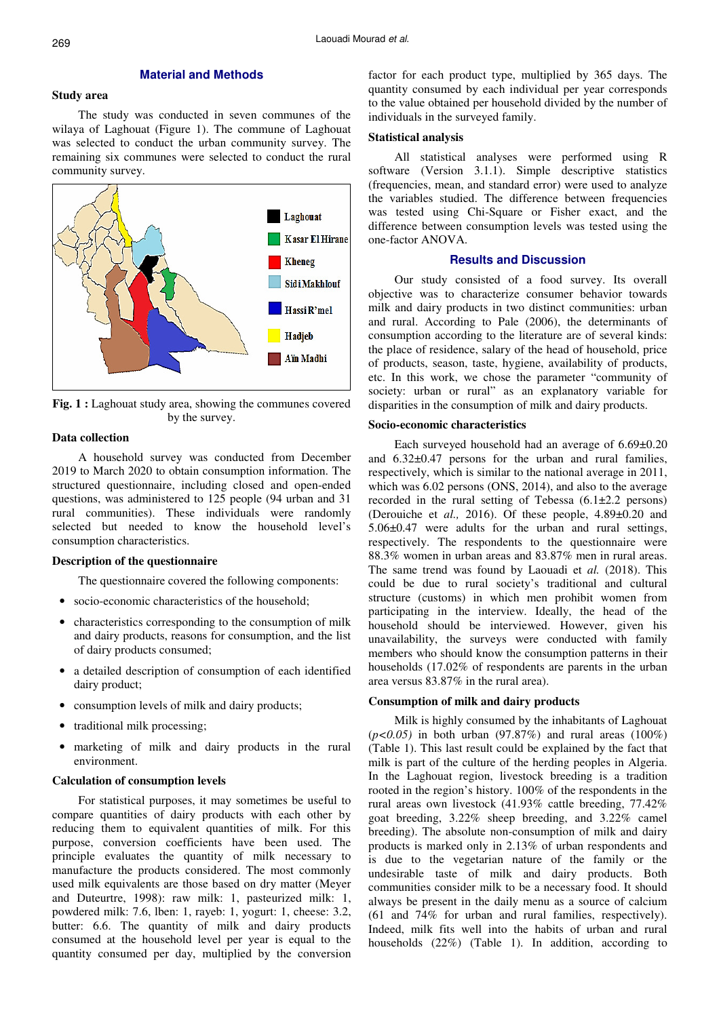#### **Material and Methods**

## **Study area**

The study was conducted in seven communes of the wilaya of Laghouat (Figure 1). The commune of Laghouat was selected to conduct the urban community survey. The remaining six communes were selected to conduct the rural community survey.



Fig. 1 : Laghouat study area, showing the communes covered by the survey.

#### **Data collection**

A household survey was conducted from December 2019 to March 2020 to obtain consumption information. The structured questionnaire, including closed and open-ended questions, was administered to 125 people (94 urban and 31 rural communities). These individuals were randomly selected but needed to know the household level's consumption characteristics.

#### **Description of the questionnaire**

The questionnaire covered the following components:

- socio-economic characteristics of the household:
- characteristics corresponding to the consumption of milk and dairy products, reasons for consumption, and the list of dairy products consumed;
- a detailed description of consumption of each identified dairy product;
- consumption levels of milk and dairy products;
- traditional milk processing;
- marketing of milk and dairy products in the rural environment.

## **Calculation of consumption levels**

For statistical purposes, it may sometimes be useful to compare quantities of dairy products with each other by reducing them to equivalent quantities of milk. For this purpose, conversion coefficients have been used. The principle evaluates the quantity of milk necessary to manufacture the products considered. The most commonly used milk equivalents are those based on dry matter (Meyer and Duteurtre, 1998): raw milk: 1, pasteurized milk: 1, powdered milk: 7.6, lben: 1, rayeb: 1, yogurt: 1, cheese: 3.2, butter: 6.6. The quantity of milk and dairy products consumed at the household level per year is equal to the quantity consumed per day, multiplied by the conversion

factor for each product type, multiplied by 365 days. The quantity consumed by each individual per year corresponds to the value obtained per household divided by the number of individuals in the surveyed family.

#### **Statistical analysis**

All statistical analyses were performed using R software (Version 3.1.1). Simple descriptive statistics (frequencies, mean, and standard error) were used to analyze the variables studied. The difference between frequencies was tested using Chi-Square or Fisher exact, and the difference between consumption levels was tested using the one-factor ANOVA.

# **Results and Discussion**

Our study consisted of a food survey. Its overall objective was to characterize consumer behavior towards milk and dairy products in two distinct communities: urban and rural. According to Pale (2006), the determinants of consumption according to the literature are of several kinds: the place of residence, salary of the head of household, price of products, season, taste, hygiene, availability of products, etc. In this work, we chose the parameter "community of society: urban or rural" as an explanatory variable for disparities in the consumption of milk and dairy products.

#### **Socio-economic characteristics**

Each surveyed household had an average of 6.69±0.20 and 6.32±0.47 persons for the urban and rural families, respectively, which is similar to the national average in 2011, which was 6.02 persons (ONS, 2014), and also to the average recorded in the rural setting of Tebessa (6.1±2.2 persons) (Derouiche et *al.,* 2016). Of these people, 4.89±0.20 and 5.06±0.47 were adults for the urban and rural settings, respectively. The respondents to the questionnaire were 88.3% women in urban areas and 83.87% men in rural areas. The same trend was found by Laouadi et *al.* (2018). This could be due to rural society's traditional and cultural structure (customs) in which men prohibit women from participating in the interview. Ideally, the head of the household should be interviewed. However, given his unavailability, the surveys were conducted with family members who should know the consumption patterns in their households (17.02% of respondents are parents in the urban area versus 83.87% in the rural area).

#### **Consumption of milk and dairy products**

Milk is highly consumed by the inhabitants of Laghouat (*p<0.05)* in both urban (97.87%) and rural areas (100%) (Table 1). This last result could be explained by the fact that milk is part of the culture of the herding peoples in Algeria. In the Laghouat region, livestock breeding is a tradition rooted in the region's history. 100% of the respondents in the rural areas own livestock (41.93% cattle breeding, 77.42% goat breeding, 3.22% sheep breeding, and 3.22% camel breeding). The absolute non-consumption of milk and dairy products is marked only in 2.13% of urban respondents and is due to the vegetarian nature of the family or the undesirable taste of milk and dairy products. Both communities consider milk to be a necessary food. It should always be present in the daily menu as a source of calcium (61 and 74% for urban and rural families, respectively). Indeed, milk fits well into the habits of urban and rural households (22%) (Table 1). In addition, according to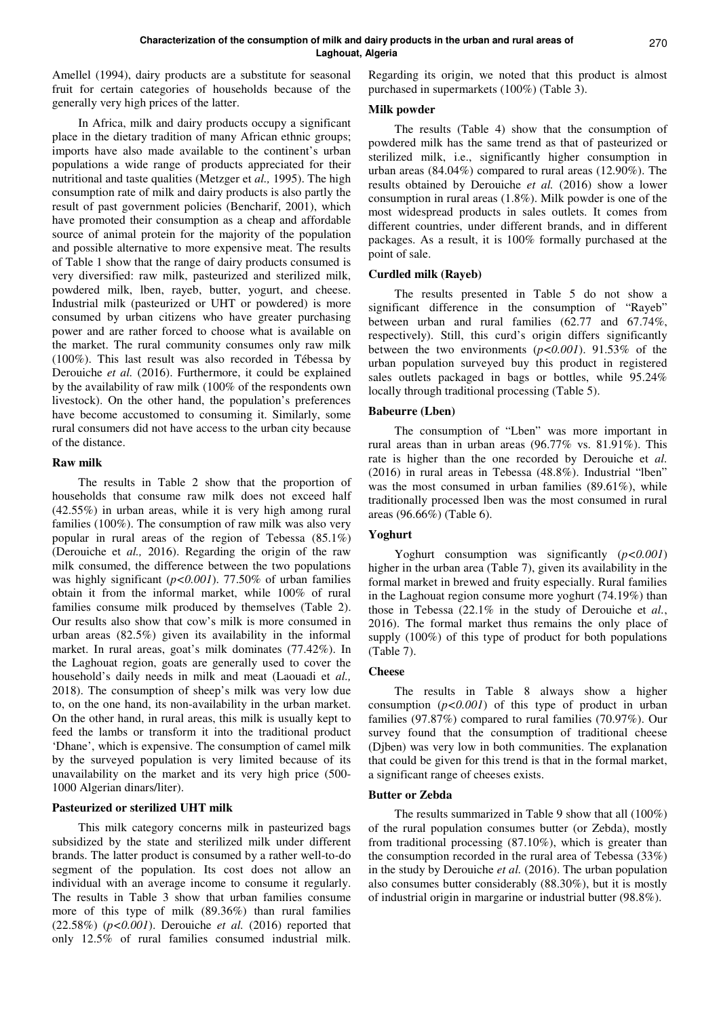Amellel (1994), dairy products are a substitute for seasonal fruit for certain categories of households because of the generally very high prices of the latter.

In Africa, milk and dairy products occupy a significant place in the dietary tradition of many African ethnic groups; imports have also made available to the continent's urban populations a wide range of products appreciated for their nutritional and taste qualities (Metzger et *al.,* 1995). The high consumption rate of milk and dairy products is also partly the result of past government policies (Bencharif, 2001), which have promoted their consumption as a cheap and affordable source of animal protein for the majority of the population and possible alternative to more expensive meat. The results of Table 1 show that the range of dairy products consumed is very diversified: raw milk, pasteurized and sterilized milk, powdered milk, lben, rayeb, butter, yogurt, and cheese. Industrial milk (pasteurized or UHT or powdered) is more consumed by urban citizens who have greater purchasing power and are rather forced to choose what is available on the market. The rural community consumes only raw milk (100%). This last result was also recorded in Tébessa by Derouiche *et al.* (2016). Furthermore, it could be explained by the availability of raw milk (100% of the respondents own livestock). On the other hand, the population's preferences have become accustomed to consuming it. Similarly, some rural consumers did not have access to the urban city because of the distance.

#### **Raw milk**

The results in Table 2 show that the proportion of households that consume raw milk does not exceed half (42.55%) in urban areas, while it is very high among rural families (100%). The consumption of raw milk was also very popular in rural areas of the region of Tebessa (85.1%) (Derouiche et *al.,* 2016). Regarding the origin of the raw milk consumed, the difference between the two populations was highly significant (*p<0.001*). 77.50% of urban families obtain it from the informal market, while 100% of rural families consume milk produced by themselves (Table 2). Our results also show that cow's milk is more consumed in urban areas (82.5%) given its availability in the informal market. In rural areas, goat's milk dominates (77.42%). In the Laghouat region, goats are generally used to cover the household's daily needs in milk and meat (Laouadi et *al.,*  2018). The consumption of sheep's milk was very low due to, on the one hand, its non-availability in the urban market. On the other hand, in rural areas, this milk is usually kept to feed the lambs or transform it into the traditional product 'Dhane', which is expensive. The consumption of camel milk by the surveyed population is very limited because of its unavailability on the market and its very high price (500- 1000 Algerian dinars/liter).

#### **Pasteurized or sterilized UHT milk**

This milk category concerns milk in pasteurized bags subsidized by the state and sterilized milk under different brands. The latter product is consumed by a rather well-to-do segment of the population. Its cost does not allow an individual with an average income to consume it regularly. The results in Table 3 show that urban families consume more of this type of milk (89.36%) than rural families (22.58%) (*p<0.001*). Derouiche *et al.* (2016) reported that only 12.5% of rural families consumed industrial milk.

Regarding its origin, we noted that this product is almost purchased in supermarkets (100%) (Table 3).

#### **Milk powder**

The results (Table 4) show that the consumption of powdered milk has the same trend as that of pasteurized or sterilized milk, i.e., significantly higher consumption in urban areas (84.04%) compared to rural areas (12.90%). The results obtained by Derouiche *et al.* (2016) show a lower consumption in rural areas (1.8%). Milk powder is one of the most widespread products in sales outlets. It comes from different countries, under different brands, and in different packages. As a result, it is 100% formally purchased at the point of sale.

## **Curdled milk (Rayeb)**

The results presented in Table 5 do not show a significant difference in the consumption of "Rayeb" between urban and rural families (62.77 and 67.74%, respectively). Still, this curd's origin differs significantly between the two environments (*p<0.001*). 91.53% of the urban population surveyed buy this product in registered sales outlets packaged in bags or bottles, while 95.24% locally through traditional processing (Table 5).

## **Babeurre (Lben)**

The consumption of "Lben" was more important in rural areas than in urban areas (96.77% vs. 81.91%). This rate is higher than the one recorded by Derouiche et *al.*  (2016) in rural areas in Tebessa (48.8%). Industrial "lben" was the most consumed in urban families (89.61%), while traditionally processed lben was the most consumed in rural areas (96.66%) (Table 6).

# **Yoghurt**

Yoghurt consumption was significantly (*p<0.001*) higher in the urban area (Table 7), given its availability in the formal market in brewed and fruity especially. Rural families in the Laghouat region consume more yoghurt (74.19%) than those in Tebessa (22.1% in the study of Derouiche et *al.*, 2016). The formal market thus remains the only place of supply (100%) of this type of product for both populations (Table 7).

#### **Cheese**

The results in Table 8 always show a higher consumption  $(p<0.001)$  of this type of product in urban families (97.87%) compared to rural families (70.97%). Our survey found that the consumption of traditional cheese (Djben) was very low in both communities. The explanation that could be given for this trend is that in the formal market, a significant range of cheeses exists.

#### **Butter or Zebda**

The results summarized in Table 9 show that all (100%) of the rural population consumes butter (or Zebda), mostly from traditional processing (87.10%), which is greater than the consumption recorded in the rural area of Tebessa (33%) in the study by Derouiche *et al.* (2016). The urban population also consumes butter considerably (88.30%), but it is mostly of industrial origin in margarine or industrial butter (98.8%).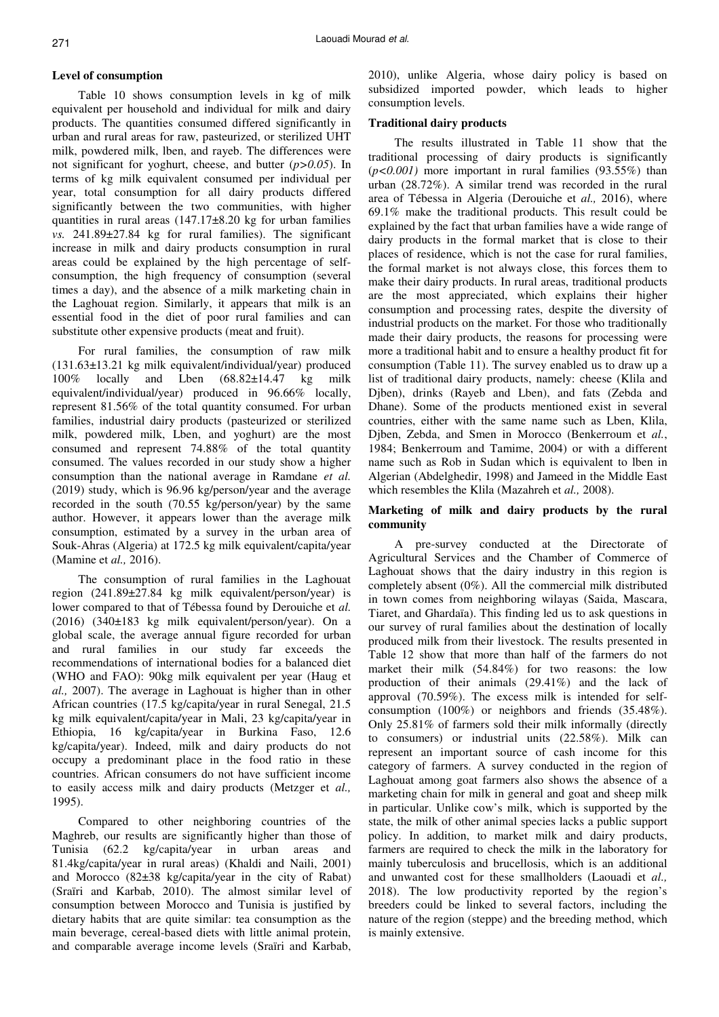#### **Level of consumption**

Table 10 shows consumption levels in kg of milk equivalent per household and individual for milk and dairy products. The quantities consumed differed significantly in urban and rural areas for raw, pasteurized, or sterilized UHT milk, powdered milk, lben, and rayeb. The differences were not significant for yoghurt, cheese, and butter (*p>0.05*). In terms of kg milk equivalent consumed per individual per year, total consumption for all dairy products differed significantly between the two communities, with higher quantities in rural areas  $(147.17\pm8.20 \text{ kg}$  for urban families *vs.* 241.89±27.84 kg for rural families). The significant increase in milk and dairy products consumption in rural areas could be explained by the high percentage of selfconsumption, the high frequency of consumption (several times a day), and the absence of a milk marketing chain in the Laghouat region. Similarly, it appears that milk is an essential food in the diet of poor rural families and can substitute other expensive products (meat and fruit).

For rural families, the consumption of raw milk (131.63±13.21 kg milk equivalent/individual/year) produced 100% locally and Lben (68.82±14.47 kg milk equivalent/individual/year) produced in 96.66% locally, represent 81.56% of the total quantity consumed. For urban families, industrial dairy products (pasteurized or sterilized milk, powdered milk, Lben, and yoghurt) are the most consumed and represent 74.88% of the total quantity consumed. The values recorded in our study show a higher consumption than the national average in Ramdane *et al.* (2019) study, which is 96.96 kg/person/year and the average recorded in the south (70.55 kg/person/year) by the same author. However, it appears lower than the average milk consumption, estimated by a survey in the urban area of Souk-Ahras (Algeria) at 172.5 kg milk equivalent/capita/year (Mamine et *al.,* 2016).

The consumption of rural families in the Laghouat region (241.89±27.84 kg milk equivalent/person/year) is lower compared to that of Tébessa found by Derouiche et *al.*  (2016) (340±183 kg milk equivalent/person/year). On a global scale, the average annual figure recorded for urban and rural families in our study far exceeds the recommendations of international bodies for a balanced diet (WHO and FAO): 90kg milk equivalent per year (Haug et *al.,* 2007). The average in Laghouat is higher than in other African countries (17.5 kg/capita/year in rural Senegal, 21.5 kg milk equivalent/capita/year in Mali, 23 kg/capita/year in Ethiopia, 16 kg/capita/year in Burkina Faso, 12.6 kg/capita/year). Indeed, milk and dairy products do not occupy a predominant place in the food ratio in these countries. African consumers do not have sufficient income to easily access milk and dairy products (Metzger et *al.,*  1995).

Compared to other neighboring countries of the Maghreb, our results are significantly higher than those of Tunisia (62.2 kg/capita/year in urban areas and 81.4kg/capita/year in rural areas) (Khaldi and Naili, 2001) and Morocco (82±38 kg/capita/year in the city of Rabat) (Sraïri and Karbab, 2010). The almost similar level of consumption between Morocco and Tunisia is justified by dietary habits that are quite similar: tea consumption as the main beverage, cereal-based diets with little animal protein, and comparable average income levels (Sraïri and Karbab,

2010), unlike Algeria, whose dairy policy is based on subsidized imported powder, which leads to higher consumption levels.

#### **Traditional dairy products**

The results illustrated in Table 11 show that the traditional processing of dairy products is significantly  $(p<0.001)$  more important in rural families  $(93.55\%)$  than urban (28.72%). A similar trend was recorded in the rural area of Tébessa in Algeria (Derouiche et *al.,* 2016), where 69.1% make the traditional products. This result could be explained by the fact that urban families have a wide range of dairy products in the formal market that is close to their places of residence, which is not the case for rural families, the formal market is not always close, this forces them to make their dairy products. In rural areas, traditional products are the most appreciated, which explains their higher consumption and processing rates, despite the diversity of industrial products on the market. For those who traditionally made their dairy products, the reasons for processing were more a traditional habit and to ensure a healthy product fit for consumption (Table 11). The survey enabled us to draw up a list of traditional dairy products, namely: cheese (Klila and Djben), drinks (Rayeb and Lben), and fats (Zebda and Dhane). Some of the products mentioned exist in several countries, either with the same name such as Lben, Klila, Djben, Zebda, and Smen in Morocco (Benkerroum et *al.*, 1984; Benkerroum and Tamime, 2004) or with a different name such as Rob in Sudan which is equivalent to lben in Algerian (Abdelghedir, 1998) and Jameed in the Middle East which resembles the Klila (Mazahreh et *al.,* 2008).

#### **Marketing of milk and dairy products by the rural community**

A pre-survey conducted at the Directorate of Agricultural Services and the Chamber of Commerce of Laghouat shows that the dairy industry in this region is completely absent (0%). All the commercial milk distributed in town comes from neighboring wilayas (Saida, Mascara, Tiaret, and Ghardaïa). This finding led us to ask questions in our survey of rural families about the destination of locally produced milk from their livestock. The results presented in Table 12 show that more than half of the farmers do not market their milk (54.84%) for two reasons: the low production of their animals (29.41%) and the lack of approval (70.59%). The excess milk is intended for selfconsumption (100%) or neighbors and friends (35.48%). Only 25.81% of farmers sold their milk informally (directly to consumers) or industrial units (22.58%). Milk can represent an important source of cash income for this category of farmers. A survey conducted in the region of Laghouat among goat farmers also shows the absence of a marketing chain for milk in general and goat and sheep milk in particular. Unlike cow's milk, which is supported by the state, the milk of other animal species lacks a public support policy. In addition, to market milk and dairy products, farmers are required to check the milk in the laboratory for mainly tuberculosis and brucellosis, which is an additional and unwanted cost for these smallholders (Laouadi et *al.,*  2018). The low productivity reported by the region's breeders could be linked to several factors, including the nature of the region (steppe) and the breeding method, which is mainly extensive.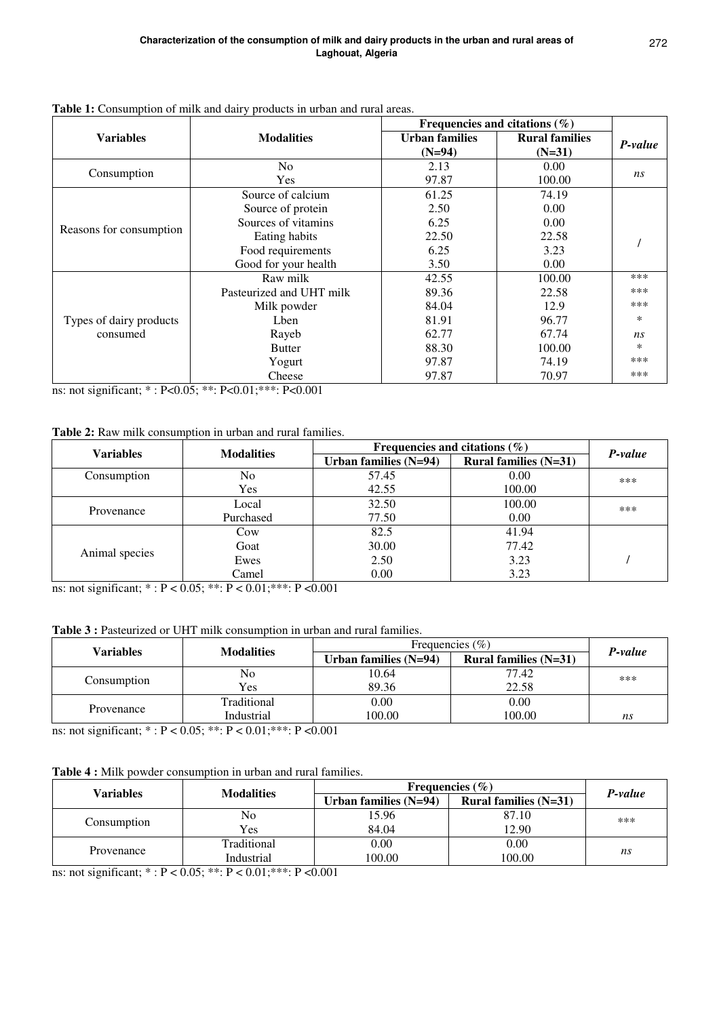|                         | we is constant to make the call $\mu$ process in them the rain the |                       | Frequencies and citations $(\%)$ |         |
|-------------------------|--------------------------------------------------------------------|-----------------------|----------------------------------|---------|
| <b>Variables</b>        | <b>Modalities</b>                                                  | <b>Urban families</b> | <b>Rural families</b>            | P-value |
|                         |                                                                    | $(N=94)$              | $(N=31)$                         |         |
| Consumption             | N <sub>0</sub>                                                     | 2.13                  | 0.00                             |         |
|                         | Yes                                                                | 97.87                 | 100.00                           | ns      |
|                         | Source of calcium                                                  | 61.25                 | 74.19                            |         |
|                         | Source of protein                                                  | 2.50                  | 0.00                             |         |
|                         | Sources of vitamins                                                | 6.25                  | 0.00                             |         |
| Reasons for consumption | Eating habits                                                      | 22.50                 | 22.58                            |         |
|                         | Food requirements                                                  | 6.25                  | 3.23                             |         |
|                         | Good for your health                                               | 3.50                  | 0.00                             |         |
|                         | Raw milk                                                           | 42.55                 | 100.00                           | ***     |
|                         | Pasteurized and UHT milk                                           | 89.36                 | 22.58                            | ***     |
|                         | Milk powder                                                        | 84.04                 | 12.9                             | ***     |
| Types of dairy products | Lben                                                               | 81.91                 | 96.77                            | *       |
| consumed                | Rayeb                                                              | 62.77                 | 67.74                            | ns      |
|                         | <b>Butter</b>                                                      | 88.30                 | 100.00                           | $\ast$  |
|                         | Yogurt                                                             | 97.87                 | 74.19                            | ***     |
|                         | Cheese                                                             | 97.87                 | 70.97                            | ***     |

# **Table 1:** Consumption of milk and dairy products in urban and rural areas.

ns: not significant; \* : P<0.05; \*\*: P<0.01;\*\*\*: P<0.001

# **Table 2:** Raw milk consumption in urban and rural families.

| <b>Variables</b> | <b>Modalities</b> | Frequencies and citations $(\%)$ | P-value                 |     |
|------------------|-------------------|----------------------------------|-------------------------|-----|
|                  |                   | Urban families $(N=94)$          | Rural families $(N=31)$ |     |
| Consumption      | No                | 57.45                            | 0.00                    | *** |
|                  | Yes               | 42.55                            | 100.00                  |     |
|                  | Local             | 32.50                            | 100.00                  | *** |
| Provenance       | Purchased         | 77.50                            | 0.00                    |     |
|                  | Cow               | 82.5                             | 41.94                   |     |
| Animal species   | Goat              | 30.00                            | 77.42                   |     |
|                  | Ewes              | 2.50                             | 3.23                    |     |
|                  | Camel             | 0.00                             | 3.23                    |     |

ns: not significant; \* : P < 0.05; \*\*: P < 0.01;\*\*\*: P <0.001

# Table 3 : Pasteurized or UHT milk consumption in urban and rural families.

| Variables   | <b>Modalities</b> | Frequencies $(\% )$     | P-value                 |     |  |
|-------------|-------------------|-------------------------|-------------------------|-----|--|
|             |                   | Urban families $(N=94)$ | Rural families $(N=31)$ |     |  |
|             | No                | 10.64                   | 77.42                   | *** |  |
| Consumption | Yes               | 89.36                   | 22.58                   |     |  |
| Provenance  | Traditional       | 0.00                    | 0.00                    |     |  |
|             | Industrial        | 100.00                  | 100.00                  | ns  |  |

ns: not significant; \* : P < 0.05; \*\*: P < 0.01;\*\*\*: P <0.001

# **Table 4 :** Milk powder consumption in urban and rural families.

| Variables   | <b>Modalities</b> | Frequencies $(\% )$     | P-value                 |     |  |
|-------------|-------------------|-------------------------|-------------------------|-----|--|
|             |                   | Urban families $(N=94)$ | Rural families $(N=31)$ |     |  |
|             | No                | 15.96                   | 87.10                   | *** |  |
| Consumption | Yes               | 84.04                   | 12.90                   |     |  |
|             | Traditional       | 0.00                    | 0.00                    |     |  |
| Provenance  | Industrial        | 100.00                  | 100.00                  | ns  |  |

ns: not significant; \* : P < 0.05; \*\*: P < 0.01;\*\*\*: P <0.001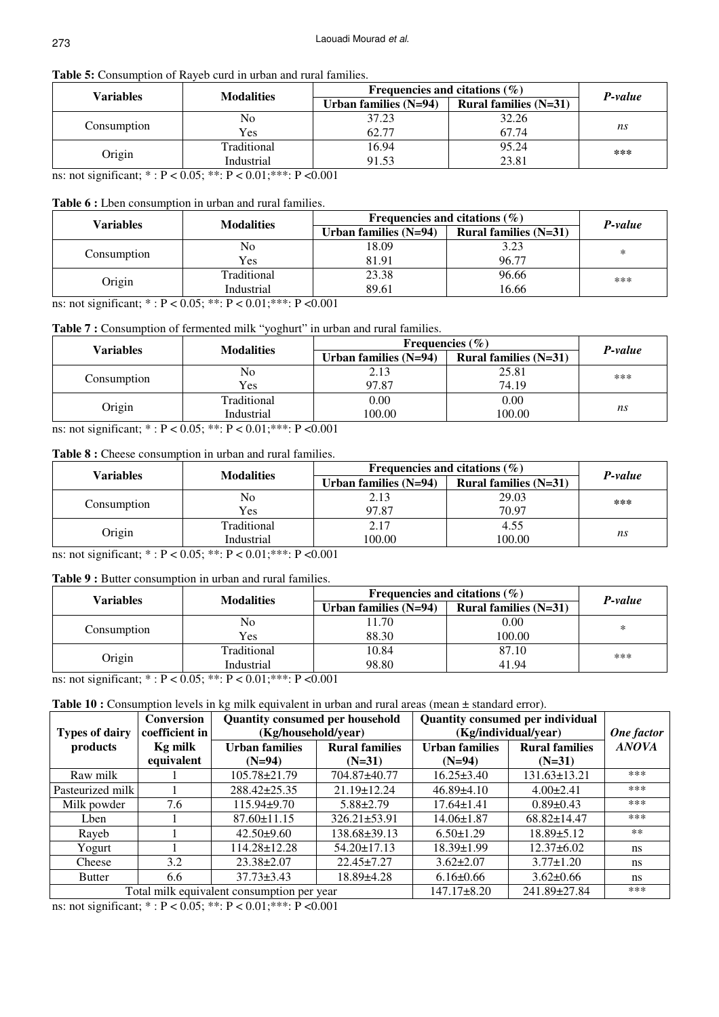# **Table 5:** Consumption of Rayeb curd in urban and rural families.

| Variables   | <b>Modalities</b>                                                                                                                                                                                                                                                                                                                       | Frequencies and citations $(\%)$ | P-value                 |     |
|-------------|-----------------------------------------------------------------------------------------------------------------------------------------------------------------------------------------------------------------------------------------------------------------------------------------------------------------------------------------|----------------------------------|-------------------------|-----|
|             |                                                                                                                                                                                                                                                                                                                                         | Urban families $(N=94)$          | Rural families $(N=31)$ |     |
|             | No                                                                                                                                                                                                                                                                                                                                      | 37.23                            | 32.26                   |     |
| Consumption | Yes                                                                                                                                                                                                                                                                                                                                     | 62.77                            | 67.74                   | ns  |
|             | Traditional                                                                                                                                                                                                                                                                                                                             | 16.94                            | 95.24                   | *** |
| Origin      | Industrial                                                                                                                                                                                                                                                                                                                              | 91.53                            | 23.81                   |     |
|             | $\ldots$ and $\ldots$ $\ldots$ $\ldots$ $\ldots$ $\ldots$ $\ldots$ $\ldots$ $\ldots$ $\ldots$ $\ldots$ $\ldots$ $\ldots$ $\ldots$ $\ldots$ $\ldots$ $\ldots$ $\ldots$ $\ldots$ $\ldots$ $\ldots$ $\ldots$ $\ldots$ $\ldots$ $\ldots$ $\ldots$ $\ldots$ $\ldots$ $\ldots$ $\ldots$ $\ldots$ $\ldots$ $\ldots$ $\ldots$ $\ldots$ $\ldots$ |                                  |                         |     |

ns: not significant; \* : P < 0.05; \*\*: P < 0.01;\*\*\*: P <0.001

## **Table 6 :** Lben consumption in urban and rural families.

| Variables   | <b>Modalities</b> | Frequencies and citations $(\%)$ | P-value                 |     |
|-------------|-------------------|----------------------------------|-------------------------|-----|
|             |                   | Urban families $(N=94)$          | Rural families $(N=31)$ |     |
|             | No                | 18.09                            | 3.23                    | *   |
| Consumption | Yes               | 81.91                            | 96.77                   |     |
|             | Traditional       | 23.38                            | 96.66                   | *** |
| Origin      | Industrial        | 89.61                            | 16.66                   |     |

ns: not significant; \* : P < 0.05; \*\*: P < 0.01;\*\*\*: P <0.001

# Table 7 : Consumption of fermented milk "yoghurt" in urban and rural families.

| Variables   | <b>Modalities</b> | Frequencies $(\% )$     | P-value                 |     |  |
|-------------|-------------------|-------------------------|-------------------------|-----|--|
|             |                   | Urban families $(N=94)$ | Rural families $(N=31)$ |     |  |
|             | No                | 2.13                    | 25.81                   | *** |  |
| Consumption | Yes               | 97.87                   | 74.19                   |     |  |
|             | Traditional       | 0.00                    | 0.00                    |     |  |
| Origin      | Industrial        | 100.00                  | 100.00                  | ns  |  |

ns: not significant; \* : P < 0.05; \*\*: P < 0.01;\*\*\*: P <0.001

# **Table 8 :** Cheese consumption in urban and rural families.

| Variables   | <b>Modalities</b> | Frequencies and citations $(\% )$ | P-value                 |     |
|-------------|-------------------|-----------------------------------|-------------------------|-----|
|             |                   | Urban families $(N=94)$           | Rural families $(N=31)$ |     |
|             | No                | 2.13                              | 29.03                   | *** |
| Consumption | Yes               | 97.87                             | 70.97                   |     |
|             | Traditional       | 2.17                              | 4.55                    |     |
| Origin      | Industrial        | 100.00                            | 100.00                  | ns  |

ns: not significant; \* : P < 0.05; \*\*: P < 0.01;\*\*\*: P <0.001

# **Table 9 :** Butter consumption in urban and rural families.

| Variables   | <b>Modalities</b> | Frequencies and citations $(\% )$ | P-value                 |     |  |
|-------------|-------------------|-----------------------------------|-------------------------|-----|--|
|             |                   | Urban families $(N=94)$           | Rural families $(N=31)$ |     |  |
|             | No                | 1.70                              | 0.00                    | *   |  |
| Consumption | Yes               | 88.30                             | 100.00                  |     |  |
|             | Traditional       | 10.84                             | 87.10                   | *** |  |
| Origin      | Industrial        | 98.80                             | 41.94                   |     |  |

ns: not significant;  $* : P < 0.05$ ;  $** : P < 0.01$ ;  $** : P < 0.001$ 

# **Table 10 :** Consumption levels in kg milk equivalent in urban and rural areas (mean ± standard error).

| <b>Types of dairy</b> | <b>Conversion</b><br>coefficient in | <b>Quantity consumed per household</b><br>(Kg/household/year) |                                   | Quantity consumed per individual<br>(Kg/individual/year) | One factor                        |               |
|-----------------------|-------------------------------------|---------------------------------------------------------------|-----------------------------------|----------------------------------------------------------|-----------------------------------|---------------|
| products              | <b>Kg milk</b><br>equivalent        | <b>Urban families</b><br>$(N=94)$                             | <b>Rural families</b><br>$(N=31)$ | <b>Urban families</b><br>$(N=94)$                        | <b>Rural families</b><br>$(N=31)$ | <b>ANOVA</b>  |
| Raw milk              |                                     | $105.78 \pm 21.79$                                            | 704.87±40.77                      | $16.25 \pm 3.40$                                         | $131.63 \pm 13.21$                | ***           |
| Pasteurized milk      |                                     | 288.42±25.35                                                  | $21.19 \pm 12.24$                 | $46.89{\pm}4.10$                                         | $4.00 \pm 2.41$                   | ***           |
| Milk powder           | 7.6                                 | $115.94\pm9.70$                                               | $5.88 \pm 2.79$                   | $17.64 \pm 1.41$                                         | $0.89 \pm 0.43$                   | ***           |
| Lben                  |                                     | $87.60 \pm 11.15$                                             | $326.21 \pm 53.91$                | $14.06 \pm 1.87$                                         | $68.82 \pm 14.47$                 | ***           |
| Rayeb                 |                                     | $42.50 \pm 9.60$                                              | $138.68 \pm 39.13$                | $6.50 \pm 1.29$                                          | $18.89 \pm 5.12$                  | $***$         |
| Yogurt                |                                     | 114.28±12.28                                                  | $54.20 \pm 17.13$                 | $18.39 \pm 1.99$                                         | $12.37\pm 6.02$                   | ns            |
| Cheese                | 3.2                                 | $23.38 \pm 2.07$                                              | $22.45 \pm 7.27$                  | $3.62 \pm 2.07$                                          | $3.77 \pm 1.20$                   | ns.           |
| <b>Butter</b>         | 6.6                                 | $37.73 \pm 3.43$                                              | 18.89±4.28                        | $6.16 \pm 0.66$                                          | $3.62 \pm 0.66$                   | <sub>ns</sub> |
|                       |                                     | Total milk equivalent consumption per year                    |                                   | $147.17 \pm 8.20$                                        | 241.89±27.84                      | ***           |

ns: not significant; \* : P < 0.05; \*\*: P < 0.01;\*\*\*: P <0.001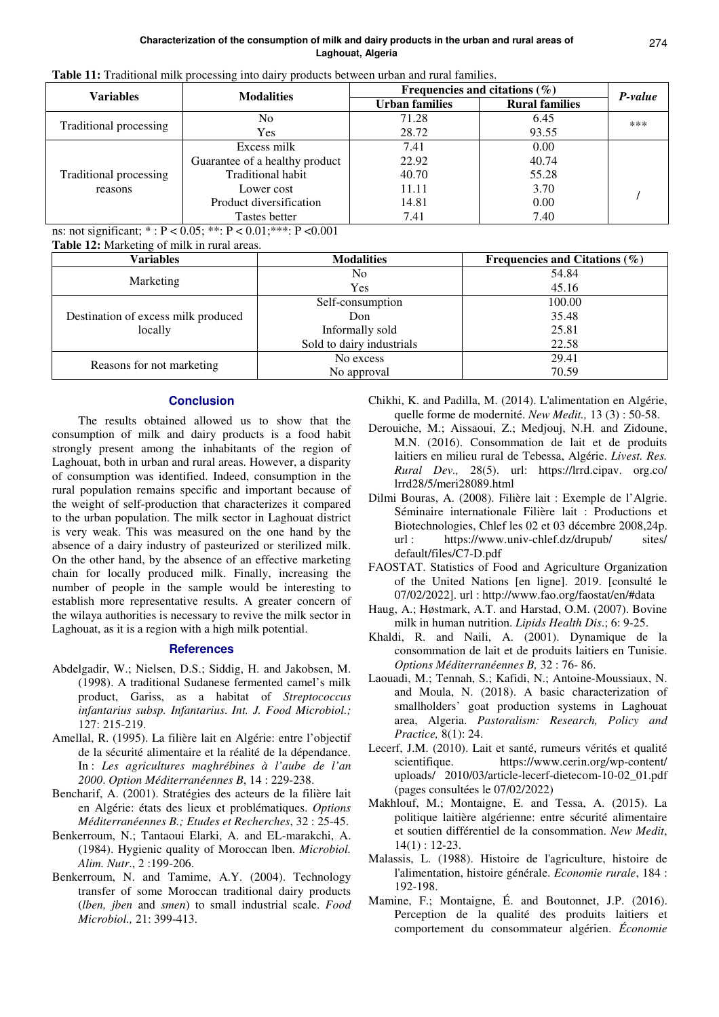|  | Table 11: Traditional milk processing into dairy products between urban and rural families. |
|--|---------------------------------------------------------------------------------------------|
|--|---------------------------------------------------------------------------------------------|

| <b>Variables</b>       | <b>Modalities</b>              | Frequencies and citations $(\%)$ | P-value               |     |
|------------------------|--------------------------------|----------------------------------|-----------------------|-----|
|                        |                                | <b>Urban families</b>            | <b>Rural families</b> |     |
|                        | N <sub>0</sub>                 | 71.28                            | 6.45                  | *** |
| Traditional processing | <b>Yes</b>                     | 28.72                            | 93.55                 |     |
|                        | Excess milk                    | 7.41                             | 0.00                  |     |
|                        | Guarantee of a healthy product | 22.92                            | 40.74                 |     |
| Traditional processing | Traditional habit              | 40.70                            | 55.28                 |     |
| reasons                | Lower cost                     | 11.11                            | 3.70                  |     |
|                        | Product diversification        | 14.81                            | 0.00                  |     |
|                        | Tastes better                  | 7.41                             | 7.40                  |     |

ns: not significant; \* : P < 0.05; \*\*: P < 0.01;\*\*\*: P <0.001

**Table 12:** Marketing of milk in rural areas.

| Variables                                      | <b>Modalities</b>         | Frequencies and Citations $(\%)$ |
|------------------------------------------------|---------------------------|----------------------------------|
| Marketing                                      | No                        | 54.84                            |
|                                                | Yes                       | 45.16                            |
| Destination of excess milk produced<br>locally | Self-consumption          | 100.00                           |
|                                                | Don                       | 35.48                            |
|                                                | Informally sold           | 25.81                            |
|                                                | Sold to dairy industrials | 22.58                            |
| Reasons for not marketing                      | No excess                 | 29.41                            |
|                                                | No approval               | 70.59                            |

# **Conclusion**

The results obtained allowed us to show that the consumption of milk and dairy products is a food habit strongly present among the inhabitants of the region of Laghouat, both in urban and rural areas. However, a disparity of consumption was identified. Indeed, consumption in the rural population remains specific and important because of the weight of self-production that characterizes it compared to the urban population. The milk sector in Laghouat district is very weak. This was measured on the one hand by the absence of a dairy industry of pasteurized or sterilized milk. On the other hand, by the absence of an effective marketing chain for locally produced milk. Finally, increasing the number of people in the sample would be interesting to establish more representative results. A greater concern of the wilaya authorities is necessary to revive the milk sector in Laghouat, as it is a region with a high milk potential.

# **References**

- Abdelgadir, W.; Nielsen, D.S.; Siddig, H. and Jakobsen, M. (1998). A traditional Sudanese fermented camel's milk product, Gariss, as a habitat of *Streptococcus infantarius subsp. Infantarius*. *Int. J. Food Microbiol.;*  127: 215-219.
- Amellal, R. (1995). La filière lait en Algérie: entre l'objectif de la sécurité alimentaire et la réalité de la dépendance. In : *Les agricultures maghrébines à l'aube de l'an 2000*. *Option Méditerranéennes B*, 14 : 229-238.
- Bencharif, A. (2001). Stratégies des acteurs de la filière lait en Algérie: états des lieux et problématiques. *Options Méditerranéennes B.; Etudes et Recherches*, 32 : 25-45.
- Benkerroum, N.; Tantaoui Elarki, A. and EL-marakchi, A. (1984). Hygienic quality of Moroccan lben. *Microbiol. Alim. Nutr*., 2 :199-206.
- Benkerroum, N. and Tamime, A.Y. (2004). Technology transfer of some Moroccan traditional dairy products (*lben, jben* and *smen*) to small industrial scale. *Food Microbiol.,* 21: 399-413.

Chikhi, K. and Padilla, M. (2014). L'alimentation en Algérie, quelle forme de modernité. *New Medit.,* 13 (3) : 50-58.

- Derouiche, M.; Aissaoui, Z.; Medjouj, N.H. and Zidoune, M.N. (2016). Consommation de lait et de produits laitiers en milieu rural de Tebessa, Algérie. *Livest. Res. Rural Dev.,* 28(5). url: https://lrrd.cipav. org.co/ lrrd28/5/meri28089.html
- Dilmi Bouras, A. (2008). Filière lait : Exemple de l'Algrie. Séminaire internationale Filière lait : Productions et Biotechnologies, Chlef les 02 et 03 décembre 2008,24p. url : https://www.univ-chlef.dz/drupub/ sites/ default/files/C7-D.pdf
- FAOSTAT. Statistics of Food and Agriculture Organization of the United Nations [en ligne]. 2019. [consulté le 07/02/2022]. url : http://www.fao.org/faostat/en/#data
- Haug, A.; Høstmark, A.T. and Harstad, O.M. (2007). Bovine milk in human nutrition. *Lipids Health Dis*.; 6: 9-25.
- Khaldi, R. and Naili, A. (2001). Dynamique de la consommation de lait et de produits laitiers en Tunisie. *Options Méditerranéennes B,* 32 : 76- 86.
- Laouadi, M.; Tennah, S.; Kafidi, N.; Antoine-Moussiaux, N. and Moula, N. (2018). A basic characterization of smallholders' goat production systems in Laghouat area, Algeria. *Pastoralism: Research, Policy and Practice,* 8(1): 24.
- Lecerf, J.M. (2010). Lait et santé, rumeurs vérités et qualité scientifique. https://www.cerin.org/wp-content/ uploads/ 2010/03/article-lecerf-dietecom-10-02\_01.pdf (pages consultées le 07/02/2022)
- Makhlouf, M.; Montaigne, E. and Tessa, A. (2015). La politique laitière algérienne: entre sécurité alimentaire et soutien différentiel de la consommation. *New Medit*, 14(1) : 12-23.
- Malassis, L. (1988). Histoire de l'agriculture, histoire de l'alimentation, histoire générale. *Economie rurale*, 184 : 192-198.
- Mamine, F.; Montaigne, É. and Boutonnet, J.P. (2016). Perception de la qualité des produits laitiers et comportement du consommateur algérien. *Économie*